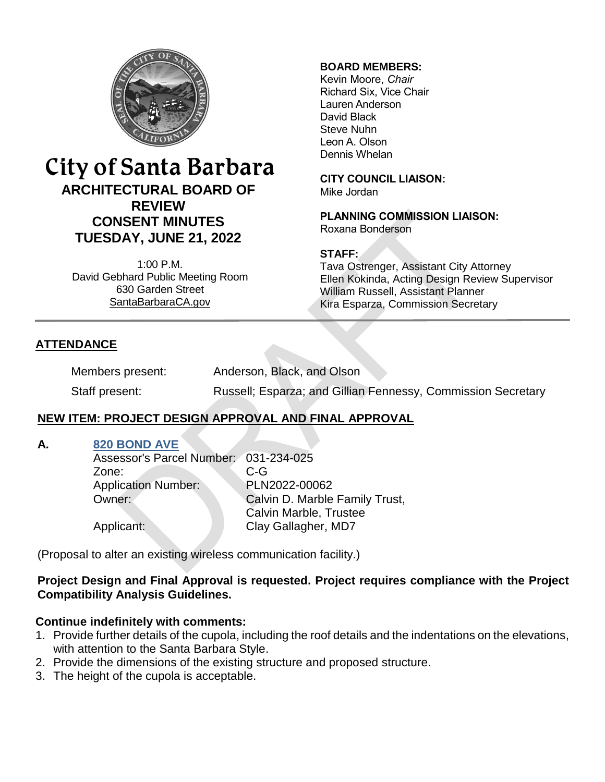

# City of Santa Barbara **ARCHITECTURAL BOARD OF REVIEW CONSENT MINUTES TUESDAY, JUNE 21, 2022**

1:00 P.M. David Gebhard Public Meeting Room 630 Garden Street [SantaBarbaraCA.gov](http://www.santabarbaraca.gov/)

### **BOARD MEMBERS:**

Kevin Moore, *Chair* Richard Six, Vice Chair Lauren Anderson David Black Steve Nuhn Leon A. Olson Dennis Whelan

**CITY COUNCIL LIAISON:** Mike Jordan

**PLANNING COMMISSION LIAISON:** Roxana Bonderson

### **STAFF:**

Tava Ostrenger, Assistant City Attorney Ellen Kokinda, Acting Design Review Supervisor William Russell, Assistant Planner Kira Esparza, Commission Secretary

## **ATTENDANCE**

Members present: Anderson, Black, and Olson Staff present: Russell; Esparza; and Gillian Fennessy, Commission Secretary

## **NEW ITEM: PROJECT DESIGN APPROVAL AND FINAL APPROVAL**

#### **A. [820 BOND AVE](https://www.santabarbaraca.gov/SBdocuments/Advisory_Groups/Architectural_Board_of_Review/Archive/2022_Archives/03_Architectural_Drawings/2022-06-21_June_21_2022_820_Bond_Ave.pdf)**

Assessor's Parcel Number: 031-234-025 Zone: C-G Application Number: PLN2022-00062 **Owner:** Calvin D. Marble Family Trust, Calvin Marble, Trustee Applicant: Clay Gallagher, MD7

(Proposal to alter an existing wireless communication facility.)

## **Project Design and Final Approval is requested. Project requires compliance with the Project Compatibility Analysis Guidelines.**

## **Continue indefinitely with comments:**

- 1. Provide further details of the cupola, including the roof details and the indentations on the elevations, with attention to the Santa Barbara Style.
- 2. Provide the dimensions of the existing structure and proposed structure.
- 3. The height of the cupola is acceptable.